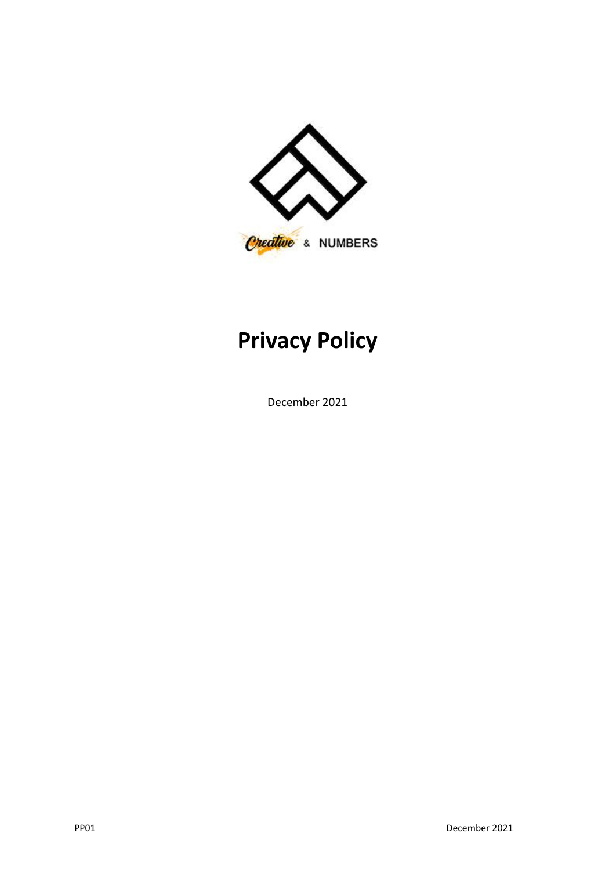

# **Privacy Policy**

December 2021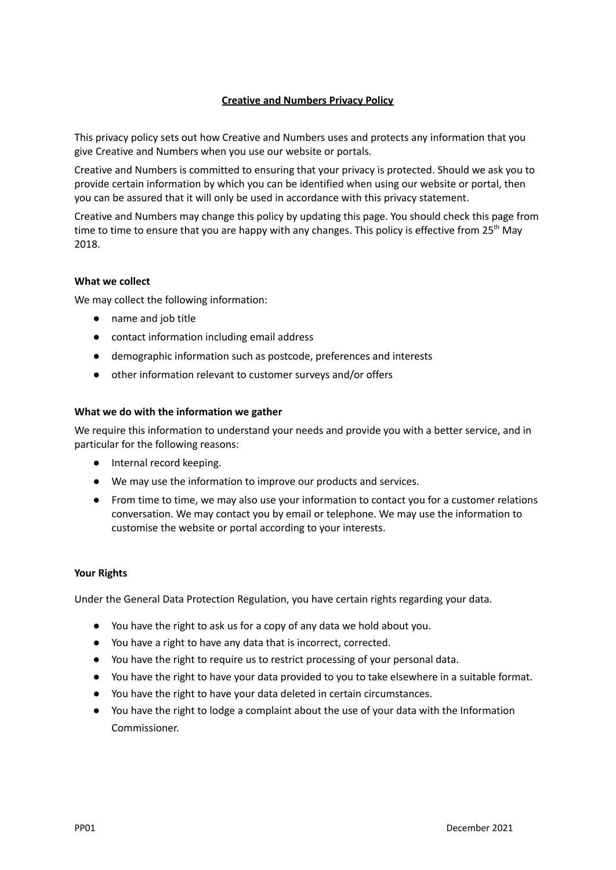# **Creative and Numbers Privacy Policy**

This privacy policy sets out how Creative and Numbers uses and protects any information that you give Creative and Numbers when you use our website or portals.

Creative and Numbers is committed to ensuring that your privacy is protected. Should we ask you to provide certain information by which you can be identified when using our website or portal, then you can be assured that it will only be used in accordance with this privacy statement.

Creative and Numbers may change this policy by updating this page. You should check this page from time to time to ensure that you are happy with any changes. This policy is effective from 25<sup>th</sup> May 2018.

## **What we collect**

We may collect the following information:

- name and job title
- contact information including email address
- demographic information such as postcode, preferences and interests
- other information relevant to customer surveys and/or offers

#### **What we do with the information we gather**

We require this information to understand your needs and provide you with a better service, and in particular for the following reasons:

- Internal record keeping.
- We may use the information to improve our products and services.
- From time to time, we may also use your information to contact you for a customer relations conversation. We may contact you by email or telephone. We may use the information to customise the website or portal according to your interests.

#### **Your Rights**

Under the General Data Protection Regulation, you have certain rights regarding your data.

- You have the right to ask us for a copy of any data we hold about you.
- You have a right to have any data that is incorrect, corrected.
- You have the right to require us to restrict processing of your personal data.
- You have the right to have your data provided to you to take elsewhere in a suitable format.
- You have the right to have your data deleted in certain circumstances.
- You have the right to lodge a complaint about the use of your data with the Information Commissioner.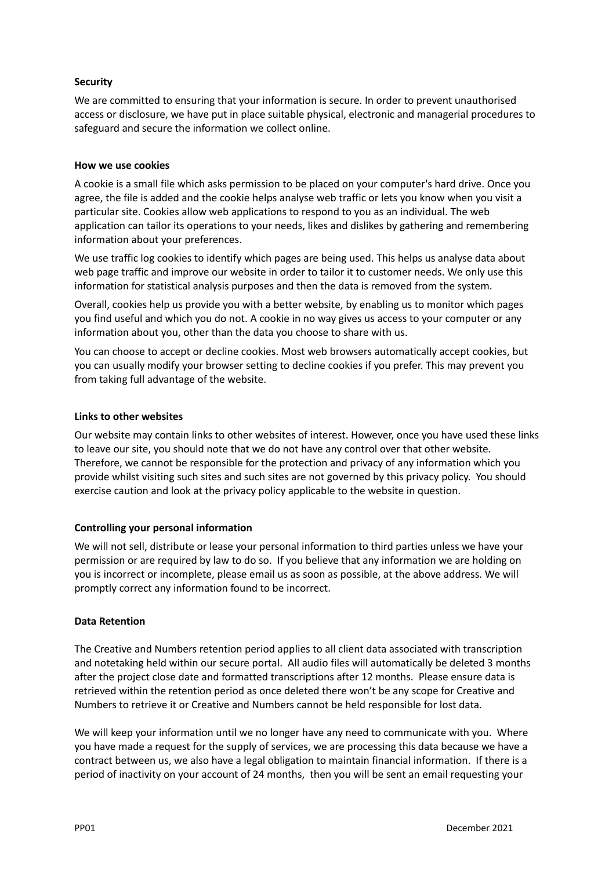## **Security**

We are committed to ensuring that your information is secure. In order to prevent unauthorised access or disclosure, we have put in place suitable physical, electronic and managerial procedures to safeguard and secure the information we collect online.

#### **How we use cookies**

A cookie is a small file which asks permission to be placed on your computer's hard drive. Once you agree, the file is added and the cookie helps analyse web traffic or lets you know when you visit a particular site. Cookies allow web applications to respond to you as an individual. The web application can tailor its operations to your needs, likes and dislikes by gathering and remembering information about your preferences.

We use traffic log cookies to identify which pages are being used. This helps us analyse data about web page traffic and improve our website in order to tailor it to customer needs. We only use this information for statistical analysis purposes and then the data is removed from the system.

Overall, cookies help us provide you with a better website, by enabling us to monitor which pages you find useful and which you do not. A cookie in no way gives us access to your computer or any information about you, other than the data you choose to share with us.

You can choose to accept or decline cookies. Most web browsers automatically accept cookies, but you can usually modify your browser setting to decline cookies if you prefer. This may prevent you from taking full advantage of the website.

#### **Links to other websites**

Our website may contain links to other websites of interest. However, once you have used these links to leave our site, you should note that we do not have any control over that other website. Therefore, we cannot be responsible for the protection and privacy of any information which you provide whilst visiting such sites and such sites are not governed by this privacy policy. You should exercise caution and look at the privacy policy applicable to the website in question.

#### **Controlling your personal information**

We will not sell, distribute or lease your personal information to third parties unless we have your permission or are required by law to do so. If you believe that any information we are holding on you is incorrect or incomplete, please email us as soon as possible, at the above address. We will promptly correct any information found to be incorrect.

#### **Data Retention**

The Creative and Numbers retention period applies to all client data associated with transcription and notetaking held within our secure portal. All audio files will automatically be deleted 3 months after the project close date and formatted transcriptions after 12 months. Please ensure data is retrieved within the retention period as once deleted there won't be any scope for Creative and Numbers to retrieve it or Creative and Numbers cannot be held responsible for lost data.

We will keep your information until we no longer have any need to communicate with you. Where you have made a request for the supply of services, we are processing this data because we have a contract between us, we also have a legal obligation to maintain financial information. If there is a period of inactivity on your account of 24 months, then you will be sent an email requesting your